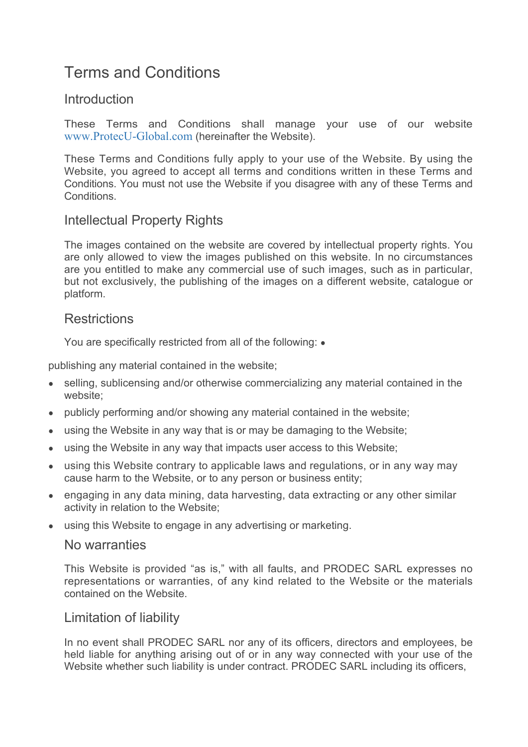# Terms and Conditions

# **Introduction**

These Terms and Conditions shall manage your use of our website www.ProtecU-Global.com (hereinafter the Website).

These Terms and Conditions fully apply to your use of the Website. By using the Website, you agreed to accept all terms and conditions written in these Terms and Conditions. You must not use the Website if you disagree with any of these Terms and **Conditions** 

# Intellectual Property Rights

The images contained on the website are covered by intellectual property rights. You are only allowed to view the images published on this website. In no circumstances are you entitled to make any commercial use of such images, such as in particular, but not exclusively, the publishing of the images on a different website, catalogue or platform.

# **Restrictions**

You are specifically restricted from all of the following:  $\bullet$ 

publishing any material contained in the website;

- selling, sublicensing and/or otherwise commercializing any material contained in the website;
- publicly performing and/or showing any material contained in the website;
- using the Website in any way that is or may be damaging to the Website;
- using the Website in any way that impacts user access to this Website;
- using this Website contrary to applicable laws and regulations, or in any way may cause harm to the Website, or to any person or business entity;
- engaging in any data mining, data harvesting, data extracting or any other similar activity in relation to the Website;
- using this Website to engage in any advertising or marketing.

#### No warranties

This Website is provided "as is," with all faults, and PRODEC SARL expresses no representations or warranties, of any kind related to the Website or the materials contained on the Website.

# Limitation of liability

In no event shall PRODEC SARL nor any of its officers, directors and employees, be held liable for anything arising out of or in any way connected with your use of the Website whether such liability is under contract. PRODEC SARL including its officers,